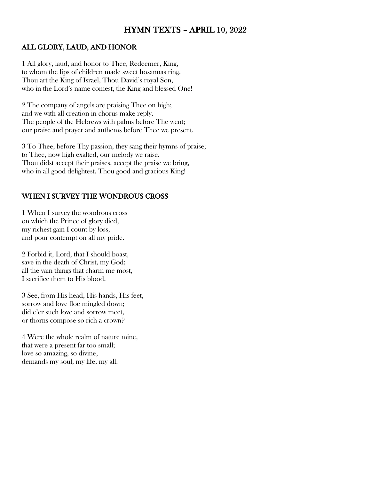# HYMN TEXTS – APRIL 10, 2022

### ALL GLORY, LAUD, AND HONOR

1 All glory, laud, and honor to Thee, Redeemer, King, to whom the lips of children made sweet hosannas ring. Thou art the King of Israel, Thou David's royal Son, who in the Lord's name comest, the King and blessed One!

2 The company of angels are praising Thee on high; and we with all creation in chorus make reply. The people of the Hebrews with palms before The went; our praise and prayer and anthems before Thee we present.

3 To Thee, before Thy passion, they sang their hymns of praise; to Thee, now high exalted, our melody we raise. Thou didst accept their praises, accept the praise we bring, who in all good delightest, Thou good and gracious King!

#### WHEN I SURVEY THE WONDROUS CROSS

1 When I survey the wondrous cross on which the Prince of glory died, my richest gain I count by loss, and pour contempt on all my pride.

2 Forbid it, Lord, that I should boast, save in the death of Christ, my God; all the vain things that charm me most, I sacrifice them to His blood.

3 See, from His head, His hands, His feet, sorrow and love floe mingled down; did e'er such love and sorrow meet, or thorns compose so rich a crown?

4 Were the whole realm of nature mine, that were a present far too small; love so amazing, so divine, demands my soul, my life, my all.